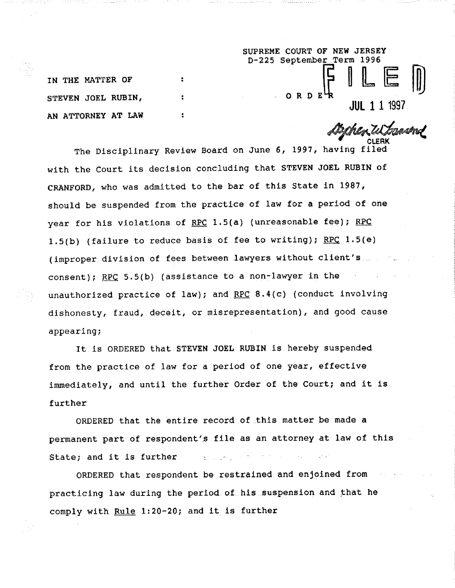D-225 September Term 1996  $\mathbf{r}$ ORDE  $\overline{\mathbf{r}}$ 

**IN THE MATTER OF STEVEN JOEL RUBIN, AN ATTORNEY AT LAW**

**JUL Z 1 1997**

**SUPREME COURT OF NEW JERSEY**

The Disciplinary Review Board on June 6, 1997, having filed with the Court its decision concluding that STEVEN JOEL RUBIN of CRANFORD, who was admitted to the bar of this State in 1987, should be suspended from the practice of law for a period of one year for his violations of RPC 1.5(a) (unreasonable fee); RPC 1.5(b) (failure to reduce basis of fee to writing); RPC  $1.5(e)$ (improper division of fees between lawyers without client's consent); RPC 5.5(b) (assistance to a non-lawyer in the unauthorized practice of law); and RPC  $8.4(c)$  (conduct involving dishonesty, fraud, deceit, or misrepresentation), and good cause appearing;

It is ORDERED that STEVEN JOEL RUBIN is hereby suspended from the practice of law for a period of one year, effective immediately, and until the further Order of the Court; and it is further

ORDERED that the entire record.of\_this matter be made a permanent part of respondent's file as an attorney at law of this State; and it is further  $\mathbb{R}^n$  . ..., we have  $\mathbb{R}^n$ 

ORDERED that respondent be restrained and enjoined from practicing law during the period of his suspension and that he comply with Rule 1:20-20; and it is further